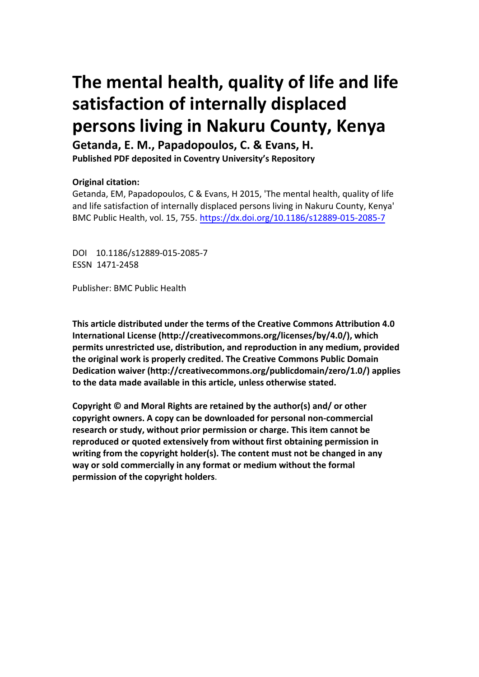# **The mental health, quality of life and life satisfaction of internally displaced persons living in Nakuru County, Kenya**

**Getanda, E. M., Papadopoulos, C. & Evans, H.** 

**Published PDF deposited in Coventry University's Repository** 

## **Original citation:**

Getanda, EM, Papadopoulos, C & Evans, H 2015, 'The mental health, quality of life and life satisfaction of internally displaced persons living in Nakuru County, Kenya' BMC Public Health, vol. 15, 755. https://dx.doi.org/10.1186/s12889-015-2085-7

DOI 10.1186/s12889-015-2085-7 ESSN 1471-2458

Publisher: BMC Public Health

**This article distributed under the terms of the Creative Commons Attribution 4.0 International License (http://creativecommons.org/licenses/by/4.0/), which permits unrestricted use, distribution, and reproduction in any medium, provided the original work is properly credited. The Creative Commons Public Domain Dedication waiver (http://creativecommons.org/publicdomain/zero/1.0/) applies to the data made available in this article, unless otherwise stated.** 

**Copyright © and Moral Rights are retained by the author(s) and/ or other copyright owners. A copy can be downloaded for personal non-commercial research or study, without prior permission or charge. This item cannot be reproduced or quoted extensively from without first obtaining permission in writing from the copyright holder(s). The content must not be changed in any way or sold commercially in any format or medium without the formal permission of the copyright holders**.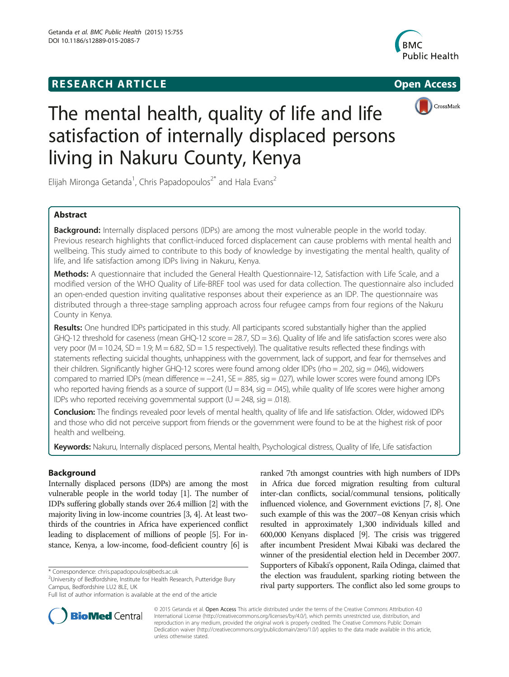# **RESEARCH ARTICLE Example 2008 Open Access**





# The mental health, quality of life and life satisfaction of internally displaced persons living in Nakuru County, Kenya

Elijah Mironga Getanda<sup>1</sup>, Chris Papadopoulos<sup>2\*</sup> and Hala Evans<sup>2</sup>

### Abstract

Background: Internally displaced persons (IDPs) are among the most vulnerable people in the world today. Previous research highlights that conflict-induced forced displacement can cause problems with mental health and wellbeing. This study aimed to contribute to this body of knowledge by investigating the mental health, quality of life, and life satisfaction among IDPs living in Nakuru, Kenya.

Methods: A questionnaire that included the General Health Questionnaire-12, Satisfaction with Life Scale, and a modified version of the WHO Quality of Life-BREF tool was used for data collection. The questionnaire also included an open-ended question inviting qualitative responses about their experience as an IDP. The questionnaire was distributed through a three-stage sampling approach across four refugee camps from four regions of the Nakuru County in Kenya.

Results: One hundred IDPs participated in this study. All participants scored substantially higher than the applied GHQ-12 threshold for caseness (mean GHQ-12 score = 28.7, SD = 3.6). Quality of life and life satisfaction scores were also very poor ( $M = 10.24$ ,  $SD = 1.9$ ;  $M = 6.82$ ,  $SD = 1.5$  respectively). The qualitative results reflected these findings with statements reflecting suicidal thoughts, unhappiness with the government, lack of support, and fear for themselves and their children. Significantly higher GHQ-12 scores were found among older IDPs (rho = .202, sig = .046), widowers compared to married IDPs (mean difference = −2.41, SE = .885, sig = .027), while lower scores were found among IDPs who reported having friends as a source of support  $(U = 834, \text{ sig} = .045)$ , while quality of life scores were higher among IDPs who reported receiving governmental support ( $U = 248$ , sig = .018).

Conclusion: The findings revealed poor levels of mental health, quality of life and life satisfaction. Older, widowed IDPs and those who did not perceive support from friends or the government were found to be at the highest risk of poor health and wellbeing.

Keywords: Nakuru, Internally displaced persons, Mental health, Psychological distress, Quality of life, Life satisfaction

### Background

Internally displaced persons (IDPs) are among the most vulnerable people in the world today [\[1](#page-8-0)]. The number of IDPs suffering globally stands over 26.4 million [[2](#page-8-0)] with the majority living in low-income countries [[3](#page-8-0), [4\]](#page-8-0). At least twothirds of the countries in Africa have experienced conflict leading to displacement of millions of people [\[5\]](#page-8-0). For instance, Kenya, a low-income, food-deficient country [\[6\]](#page-8-0) is

ranked 7th amongst countries with high numbers of IDPs in Africa due forced migration resulting from cultural inter-clan conflicts, social/communal tensions, politically influenced violence, and Government evictions [\[7, 8](#page-8-0)]. One such example of this was the 2007–08 Kenyan crisis which resulted in approximately 1,300 individuals killed and 600,000 Kenyans displaced [\[9\]](#page-8-0). The crisis was triggered after incumbent President Mwai Kibaki was declared the winner of the presidential election held in December 2007. Supporters of Kibaki's opponent, Raila Odinga, claimed that the election was fraudulent, sparking rioting between the rival party supporters. The conflict also led some groups to



© 2015 Getanda et al. Open Access This article distributed under the terms of the Creative Commons Attribution 4.0 International License [\(http://creativecommons.org/licenses/by/4.0/](http://creativecommons.org/licenses/by/4.0/)), which permits unrestricted use, distribution, and reproduction in any medium, provided the original work is properly credited. The Creative Commons Public Domain Dedication waiver [\(http://creativecommons.org/publicdomain/zero/1.0/](http://creativecommons.org/publicdomain/zero/1.0/)) applies to the data made available in this article, unless otherwise stated.

<sup>\*</sup> Correspondence: [chris.papadopoulos@beds.ac.uk](mailto:chris.papadopoulos@beds.ac.uk) <sup>2</sup>

<sup>&</sup>lt;sup>2</sup>University of Bedfordshire, Institute for Health Research, Putteridge Bury Campus, Bedfordshire LU2 8LE, UK

Full list of author information is available at the end of the article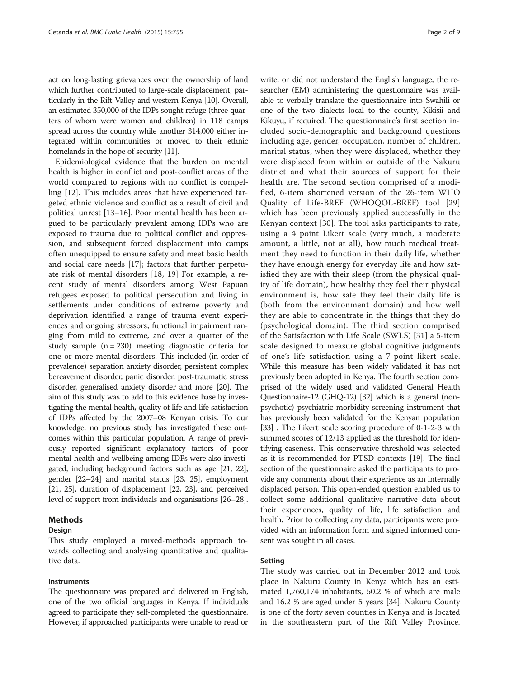act on long-lasting grievances over the ownership of land which further contributed to large-scale displacement, particularly in the Rift Valley and western Kenya [\[10\]](#page-8-0). Overall, an estimated 350,000 of the IDPs sought refuge (three quarters of whom were women and children) in 118 camps spread across the country while another 314,000 either integrated within communities or moved to their ethnic homelands in the hope of security [\[11\]](#page-8-0).

Epidemiological evidence that the burden on mental health is higher in conflict and post-conflict areas of the world compared to regions with no conflict is compelling [[12\]](#page-8-0). This includes areas that have experienced targeted ethnic violence and conflict as a result of civil and political unrest [\[13](#page-8-0)–[16\]](#page-8-0). Poor mental health has been argued to be particularly prevalent among IDPs who are exposed to trauma due to political conflict and oppression, and subsequent forced displacement into camps often unequipped to ensure safety and meet basic health and social care needs [\[17\]](#page-8-0); factors that further perpetuate risk of mental disorders [[18, 19\]](#page-8-0) For example, a recent study of mental disorders among West Papuan refugees exposed to political persecution and living in settlements under conditions of extreme poverty and deprivation identified a range of trauma event experiences and ongoing stressors, functional impairment ranging from mild to extreme, and over a quarter of the study sample  $(n = 230)$  meeting diagnostic criteria for one or more mental disorders. This included (in order of prevalence) separation anxiety disorder, persistent complex bereavement disorder, panic disorder, post-traumatic stress disorder, generalised anxiety disorder and more [\[20\]](#page-8-0). The aim of this study was to add to this evidence base by investigating the mental health, quality of life and life satisfaction of IDPs affected by the 2007–08 Kenyan crisis. To our knowledge, no previous study has investigated these outcomes within this particular population. A range of previously reported significant explanatory factors of poor mental health and wellbeing among IDPs were also investigated, including background factors such as age [\[21, 22](#page-8-0)], gender [\[22](#page-8-0)–[24\]](#page-8-0) and marital status [[23](#page-8-0), [25](#page-8-0)], employment [[21](#page-8-0), [25\]](#page-8-0), duration of displacement [\[22](#page-8-0), [23\]](#page-8-0), and perceived level of support from individuals and organisations [[26](#page-8-0)–[28](#page-8-0)].

#### Methods

#### Design

This study employed a mixed-methods approach towards collecting and analysing quantitative and qualitative data.

#### Instruments

The questionnaire was prepared and delivered in English, one of the two official languages in Kenya. If individuals agreed to participate they self-completed the questionnaire. However, if approached participants were unable to read or

write, or did not understand the English language, the researcher (EM) administering the questionnaire was available to verbally translate the questionnaire into Swahili or one of the two dialects local to the county, Kikisii and Kikuyu, if required. The questionnaire's first section included socio-demographic and background questions including age, gender, occupation, number of children, marital status, when they were displaced, whether they were displaced from within or outside of the Nakuru district and what their sources of support for their health are. The second section comprised of a modified, 6-item shortened version of the 26-item WHO Quality of Life-BREF (WHOQOL-BREF) tool [\[29](#page-8-0)] which has been previously applied successfully in the Kenyan context [[30](#page-8-0)]. The tool asks participants to rate, using a 4 point Likert scale (very much, a moderate amount, a little, not at all), how much medical treatment they need to function in their daily life, whether they have enough energy for everyday life and how satisfied they are with their sleep (from the physical quality of life domain), how healthy they feel their physical environment is, how safe they feel their daily life is (both from the environment domain) and how well they are able to concentrate in the things that they do (psychological domain). The third section comprised of the Satisfaction with Life Scale (SWLS) [\[31\]](#page-8-0) a 5-item scale designed to measure global cognitive judgments of one's life satisfaction using a 7-point likert scale. While this measure has been widely validated it has not previously been adopted in Kenya. The fourth section comprised of the widely used and validated General Health Questionnaire-12 (GHQ-12) [\[32](#page-9-0)] which is a general (nonpsychotic) psychiatric morbidity screening instrument that has previously been validated for the Kenyan population [[33](#page-9-0)] . The Likert scale scoring procedure of 0-1-2-3 with summed scores of 12/13 applied as the threshold for identifying caseness. This conservative threshold was selected as it is recommended for PTSD contexts [\[19](#page-8-0)]. The final section of the questionnaire asked the participants to provide any comments about their experience as an internally displaced person. This open-ended question enabled us to collect some additional qualitative narrative data about their experiences, quality of life, life satisfaction and health. Prior to collecting any data, participants were provided with an information form and signed informed consent was sought in all cases.

#### Setting

The study was carried out in December 2012 and took place in Nakuru County in Kenya which has an estimated 1,760,174 inhabitants, 50.2 % of which are male and 16.2 % are aged under 5 years [\[34](#page-9-0)]. Nakuru County is one of the forty seven counties in Kenya and is located in the southeastern part of the Rift Valley Province.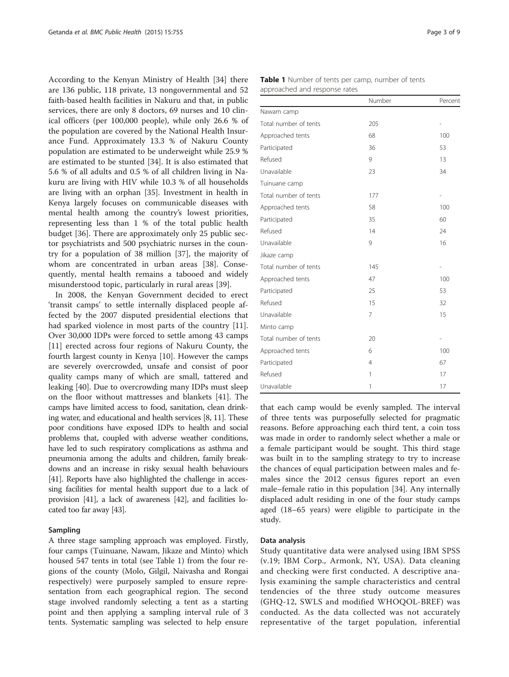<span id="page-3-0"></span>According to the Kenyan Ministry of Health [[34](#page-9-0)] there are 136 public, 118 private, 13 nongovernmental and 52 faith-based health facilities in Nakuru and that, in public services, there are only 8 doctors, 69 nurses and 10 clinical officers (per 100,000 people), while only 26.6 % of the population are covered by the National Health Insurance Fund. Approximately 13.3 % of Nakuru County population are estimated to be underweight while 25.9 % are estimated to be stunted [[34](#page-9-0)]. It is also estimated that 5.6 % of all adults and 0.5 % of all children living in Nakuru are living with HIV while 10.3 % of all households are living with an orphan [\[35\]](#page-9-0). Investment in health in Kenya largely focuses on communicable diseases with mental health among the country's lowest priorities, representing less than 1 % of the total public health budget [[36\]](#page-9-0). There are approximately only 25 public sector psychiatrists and 500 psychiatric nurses in the country for a population of 38 million [[37\]](#page-9-0), the majority of whom are concentrated in urban areas [\[38](#page-9-0)]. Consequently, mental health remains a tabooed and widely misunderstood topic, particularly in rural areas [[39\]](#page-9-0).

In 2008, the Kenyan Government decided to erect 'transit camps' to settle internally displaced people affected by the 2007 disputed presidential elections that had sparked violence in most parts of the country [\[11](#page-8-0)]. Over 30,000 IDPs were forced to settle among 43 camps [[11\]](#page-8-0) erected across four regions of Nakuru County, the fourth largest county in Kenya [[10\]](#page-8-0). However the camps are severely overcrowded, unsafe and consist of poor quality camps many of which are small, tattered and leaking [[40](#page-9-0)]. Due to overcrowding many IDPs must sleep on the floor without mattresses and blankets [\[41](#page-9-0)]. The camps have limited access to food, sanitation, clean drinking water, and educational and health services [[8](#page-8-0), [11](#page-8-0)]. These poor conditions have exposed IDPs to health and social problems that, coupled with adverse weather conditions, have led to such respiratory complications as asthma and pneumonia among the adults and children, family breakdowns and an increase in risky sexual health behaviours [[41](#page-9-0)]. Reports have also highlighted the challenge in accessing facilities for mental health support due to a lack of provision [\[41\]](#page-9-0), a lack of awareness [\[42\]](#page-9-0), and facilities located too far away [\[43\]](#page-9-0).

#### Sampling

A three stage sampling approach was employed. Firstly, four camps (Tuinuane, Nawam, Jikaze and Minto) which housed 547 tents in total (see Table 1) from the four regions of the county (Molo, Gilgil, Naivasha and Rongai respectively) were purposely sampled to ensure representation from each geographical region. The second stage involved randomly selecting a tent as a starting point and then applying a sampling interval rule of 3 tents. Systematic sampling was selected to help ensure

|                       | Number         | Percent                  |
|-----------------------|----------------|--------------------------|
| Nawam camp            |                |                          |
| Total number of tents | 205            | $\overline{\phantom{0}}$ |
| Approached tents      | 68             | 100                      |
| Participated          | 36             | 53                       |
| Refused               | 9              | 13                       |
| Unavailable           | 23             | 34                       |
| Tuinuane camp         |                |                          |
| Total number of tents | 177            | $\overline{\phantom{0}}$ |
| Approached tents      | 58             | 100                      |
| Participated          | 35             | 60                       |
| Refused               | 14             | 24                       |
| Unavailable           | 9              | 16                       |
| Jikaze camp           |                |                          |
| Total number of tents | 145            | $\overline{\phantom{0}}$ |
| Approached tents      | 47             | 100                      |
| Participated          | 25             | 53                       |
| Refused               | 15             | 32                       |
| Unavailable           | 7              | 15                       |
| Minto camp            |                |                          |
| Total number of tents | 20             | $\overline{\phantom{0}}$ |
| Approached tents      | 6              | 100                      |
| Participated          | $\overline{4}$ | 67                       |
| Refused               | 1              | 17                       |
| Unavailable           | 1              | 17                       |

that each camp would be evenly sampled. The interval of three tents was purposefully selected for pragmatic reasons. Before approaching each third tent, a coin toss was made in order to randomly select whether a male or a female participant would be sought. This third stage was built in to the sampling strategy to try to increase the chances of equal participation between males and females since the 2012 census figures report an even male–female ratio in this population [[34\]](#page-9-0). Any internally displaced adult residing in one of the four study camps aged (18–65 years) were eligible to participate in the study.

#### Data analysis

Study quantitative data were analysed using IBM SPSS (v.19; IBM Corp., Armonk, NY, USA). Data cleaning and checking were first conducted. A descriptive analysis examining the sample characteristics and central tendencies of the three study outcome measures (GHQ-12, SWLS and modified WHOQOL-BREF) was conducted. As the data collected was not accurately representative of the target population, inferential

| Table 1 Number of tents per camp, number of tents |
|---------------------------------------------------|
| approached and response rates                     |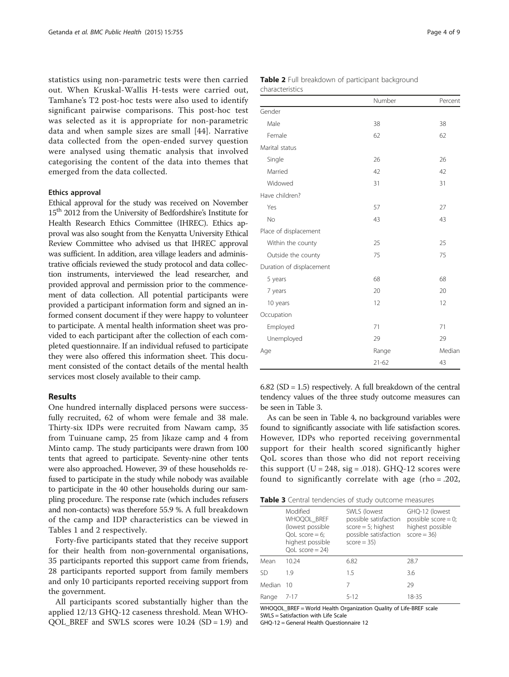statistics using non-parametric tests were then carried out. When Kruskal-Wallis H-tests were carried out, Tamhane's T2 post-hoc tests were also used to identify significant pairwise comparisons. This post-hoc test was selected as it is appropriate for non-parametric data and when sample sizes are small [[44\]](#page-9-0). Narrative data collected from the open-ended survey question were analysed using thematic analysis that involved categorising the content of the data into themes that emerged from the data collected.

#### Ethics approval

Ethical approval for the study was received on November 15<sup>th</sup> 2012 from the University of Bedfordshire's Institute for Health Research Ethics Committee (IHREC). Ethics approval was also sought from the Kenyatta University Ethical Review Committee who advised us that IHREC approval was sufficient. In addition, area village leaders and administrative officials reviewed the study protocol and data collection instruments, interviewed the lead researcher, and provided approval and permission prior to the commencement of data collection. All potential participants were provided a participant information form and signed an informed consent document if they were happy to volunteer to participate. A mental health information sheet was provided to each participant after the collection of each completed questionnaire. If an individual refused to participate they were also offered this information sheet. This document consisted of the contact details of the mental health services most closely available to their camp.

#### Results

One hundred internally displaced persons were successfully recruited, 62 of whom were female and 38 male. Thirty-six IDPs were recruited from Nawam camp, 35 from Tuinuane camp, 25 from Jikaze camp and 4 from Minto camp. The study participants were drawn from 100 tents that agreed to participate. Seventy-nine other tents were also approached. However, 39 of these households refused to participate in the study while nobody was available to participate in the 40 other households during our sampling procedure. The response rate (which includes refusers and non-contacts) was therefore 55.9 %. A full breakdown of the camp and IDP characteristics can be viewed in Tables [1](#page-3-0) and 2 respectively.

Forty-five participants stated that they receive support for their health from non-governmental organisations, 35 participants reported this support came from friends, 28 participants reported support from family members and only 10 participants reported receiving support from the government.

All participants scored substantially higher than the applied 12/13 GHQ-12 caseness threshold. Mean WHO-QOL\_BREF and SWLS scores were 10.24 (SD = 1.9) and

| <b>Table 2</b> Full breakdown of participant background |  |  |
|---------------------------------------------------------|--|--|
| characteristics                                         |  |  |

|                          | Number    | Percent |
|--------------------------|-----------|---------|
| Gender                   |           |         |
| Male                     | 38        | 38      |
| Female                   | 62        | 62      |
| Marital status           |           |         |
| Single                   | 26        | 26      |
| Married                  | 42        | 42      |
| Widowed                  | 31        | 31      |
| Have children?           |           |         |
| Yes                      | 57        | 27      |
| <b>No</b>                | 43        | 43      |
| Place of displacement    |           |         |
| Within the county        | 25        | 25      |
| Outside the county       | 75        | 75      |
| Duration of displacement |           |         |
| 5 years                  | 68        | 68      |
| 7 years                  | 20        | 20      |
| 10 years                 | 12        | 12      |
| Occupation               |           |         |
| Employed                 | 71        | 71      |
| Unemployed               | 29        | 29      |
| Age                      | Range     | Median  |
|                          | $21 - 62$ | 43      |

 $6.82$  (SD = 1.5) respectively. A full breakdown of the central tendency values of the three study outcome measures can be seen in Table 3.

As can be seen in Table [4](#page-5-0), no background variables were found to significantly associate with life satisfaction scores. However, IDPs who reported receiving governmental support for their health scored significantly higher QoL scores than those who did not report receiving this support ( $U = 248$ , sig = .018). GHQ-12 scores were found to significantly correlate with age (rho = .202,

| Table 3 Central tendencies of study outcome measures |  |
|------------------------------------------------------|--|
|------------------------------------------------------|--|

|        | Modified<br>WHOQOL BREF<br>(lowest possible)<br>QoL score $= 6$ ;<br>highest possible<br>$QoL$ score = 24) | SWLS (lowest<br>possible satisfaction<br>$score = 5$ ; highest<br>possible satisfaction<br>$score = 35$ | GHQ-12 (lowest<br>possible score = $0$ ;<br>highest possible<br>$score = 36$ |
|--------|------------------------------------------------------------------------------------------------------------|---------------------------------------------------------------------------------------------------------|------------------------------------------------------------------------------|
| Mean   | 10.24                                                                                                      | 6.82                                                                                                    | 28.7                                                                         |
| SD     | 1.9                                                                                                        | 1.5                                                                                                     | 3.6                                                                          |
| Median | 10                                                                                                         | 7                                                                                                       | 29                                                                           |
| Range  | $7 - 17$                                                                                                   | $5-12$                                                                                                  | 18-35                                                                        |

WHOQOL\_BREF = World Health Organization Quality of Life-BREF scale SWLS = Satisfaction with Life Scale

GHQ-12 = General Health Questionnaire 12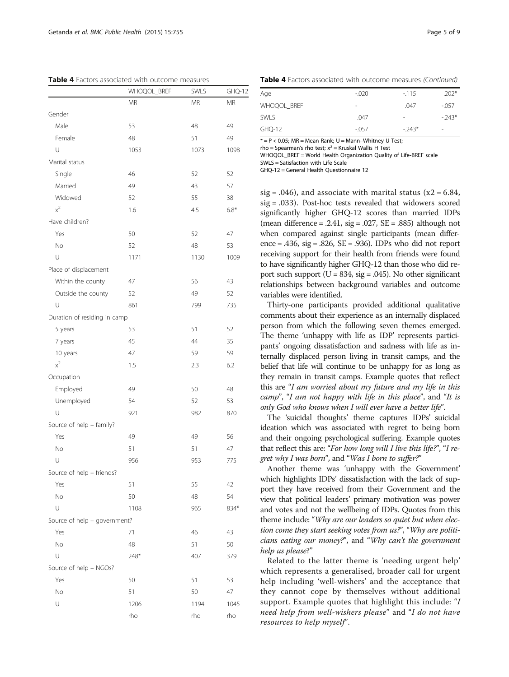<span id="page-5-0"></span>Table 4 Factors associated with outcome measures

|                              | WHOQOL_BREF | SWLS      | GHQ-12 |
|------------------------------|-------------|-----------|--------|
|                              | <b>MR</b>   | <b>MR</b> | ΜR     |
| Gender                       |             |           |        |
| Male                         | 53          | 48        | 49     |
| Female                       | 48          | 51        | 49     |
| U                            | 1053        | 1073      | 1098   |
| Marital status               |             |           |        |
| Single                       | 46          | 52        | 52     |
| Married                      | 49          | 43        | 57     |
| Widowed                      | 52          | 55        | 38     |
| $x^2$                        | 1.6         | 4.5       | $6.8*$ |
| Have children?               |             |           |        |
| Yes                          | 50          | 52        | 47     |
| No                           | 52          | 48        | 53     |
| U                            | 1171        | 1130      | 1009   |
| Place of displacement        |             |           |        |
| Within the county            | 47          | 56        | 43     |
| Outside the county           | 52          | 49        | 52     |
| U                            | 861         | 799       | 735    |
| Duration of residing in camp |             |           |        |
| 5 years                      | 53          | 51        | 52     |
| 7 years                      | 45          | 44        | 35     |
| 10 years                     | 47          | 59        | 59     |
| $x^2$                        | 1.5         | 2.3       | 6.2    |
| Occupation                   |             |           |        |
| Employed                     | 49          | 50        | 48     |
| Unemployed                   | 54          | 52        | 53     |
| U                            | 921         | 982       | 870    |
| Source of help - family?     |             |           |        |
| Yes                          | 49          | 49        | 56     |
| No                           | 51          | 51        | 47     |
| U                            | 956         | 953       | 775    |
| Source of help - friends?    |             |           |        |
| Yes                          | 51          | 55        | 42     |
| <b>No</b>                    | 50          | 48        | 54     |
| U                            | 1108        | 965       | 834*   |
| Source of help - government? |             |           |        |
| Yes                          | 71          | 46        | 43     |
| <b>No</b>                    | 48          | 51        | 50     |
| U                            | 248*        | 407       | 379    |
| Source of help - NGOs?       |             |           |        |
| Yes                          | 50          | 51        | 53     |
| No                           | 51          | 50        | 47     |
| U                            | 1206        | 1194      | 1045   |
|                              | rho         | rho       | rho    |
|                              |             |           |        |

Table 4 Factors associated with outcome measures (Continued)

| Age         | $-.020$ | $-115$  | $.202*$ |
|-------------|---------|---------|---------|
| WHOQOL BREF | -       | .047    | $-0.57$ |
| <b>SWLS</b> | .047    | ۰       | $-243*$ |
| GHQ-12      | $-.057$ | $-243*$ | $\,$    |

 $* = P < 0.05$ ; MR = Mean Rank; U = Mann-Whitney U-Test;

rho = Spearman's rho test;  $x^2$  = Kruskal Wallis H Test WHOOOL\_BREF = World Health Organization Ouality of Life-BREF scale SWLS = Satisfaction with Life Scale

GHQ-12 = General Health Questionnaire 12

sig = .046), and associate with marital status ( $x2 = 6.84$ ,  $sig = .033$ ). Post-hoc tests revealed that widowers scored significantly higher GHQ-12 scores than married IDPs (mean difference = .2.41,  $sig = .027$ ,  $SE = .885$ ) although not when compared against single participants (mean difference = .436,  $sig = .826$ ,  $SE = .936$ ). IDPs who did not report receiving support for their health from friends were found to have significantly higher GHQ-12 than those who did report such support ( $U = 834$ , sig = .045). No other significant relationships between background variables and outcome variables were identified.

Thirty-one participants provided additional qualitative comments about their experience as an internally displaced person from which the following seven themes emerged. The theme 'unhappy with life as IDP' represents participants' ongoing dissatisfaction and sadness with life as internally displaced person living in transit camps, and the belief that life will continue to be unhappy for as long as they remain in transit camps. Example quotes that reflect this are "I am worried about my future and my life in this camp", "I am not happy with life in this place", and "It is only God who knows when I will ever have a better life".

The 'suicidal thoughts' theme captures IDPs' suicidal ideation which was associated with regret to being born and their ongoing psychological suffering. Example quotes that reflect this are: "For how long will I live this life?", "I regret why I was born", and "Was I born to suffer?"

Another theme was 'unhappy with the Government' which highlights IDPs' dissatisfaction with the lack of support they have received from their Government and the view that political leaders' primary motivation was power and votes and not the wellbeing of IDPs. Quotes from this theme include: "Why are our leaders so quiet but when election come they start seeking votes from us?", "Why are politicians eating our money?", and "Why can't the government help us please?"

Related to the latter theme is 'needing urgent help' which represents a generalised, broader call for urgent help including 'well-wishers' and the acceptance that they cannot cope by themselves without additional support. Example quotes that highlight this include: "I need help from well-wishers please" and "I do not have resources to help myself".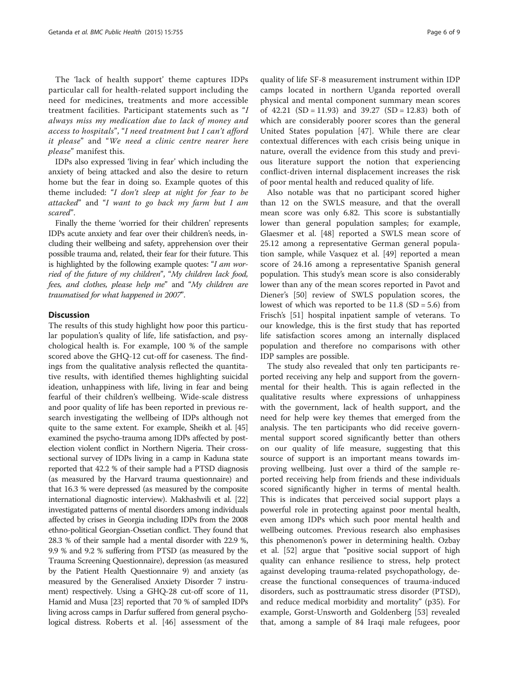The 'lack of health support' theme captures IDPs particular call for health-related support including the need for medicines, treatments and more accessible treatment facilities. Participant statements such as "I always miss my medication due to lack of money and access to hospitals", "I need treatment but I can't afford it please" and "We need a clinic centre nearer here please" manifest this.

IDPs also expressed 'living in fear' which including the anxiety of being attacked and also the desire to return home but the fear in doing so. Example quotes of this theme included: "I don't sleep at night for fear to be attacked" and "I want to go back my farm but I am scared".

Finally the theme 'worried for their children' represents IDPs acute anxiety and fear over their children's needs, including their wellbeing and safety, apprehension over their possible trauma and, related, their fear for their future. This is highlighted by the following example quotes: "I am worried of the future of my children", "My children lack food, fees, and clothes, please help me" and "My children are traumatised for what happened in 2007".

#### **Discussion**

The results of this study highlight how poor this particular population's quality of life, life satisfaction, and psychological health is. For example, 100 % of the sample scored above the GHQ-12 cut-off for caseness. The findings from the qualitative analysis reflected the quantitative results, with identified themes highlighting suicidal ideation, unhappiness with life, living in fear and being fearful of their children's wellbeing. Wide-scale distress and poor quality of life has been reported in previous research investigating the wellbeing of IDPs although not quite to the same extent. For example, Sheikh et al. [\[45](#page-9-0)] examined the psycho-trauma among IDPs affected by postelection violent conflict in Northern Nigeria. Their crosssectional survey of IDPs living in a camp in Kaduna state reported that 42.2 % of their sample had a PTSD diagnosis (as measured by the Harvard trauma questionnaire) and that 16.3 % were depressed (as measured by the composite international diagnostic interview). Makhashvili et al. [\[22](#page-8-0)] investigated patterns of mental disorders among individuals affected by crises in Georgia including IDPs from the 2008 ethno-political Georgian-Ossetian conflict. They found that 28.3 % of their sample had a mental disorder with 22.9 %, 9.9 % and 9.2 % suffering from PTSD (as measured by the Trauma Screening Questionnaire), depression (as measured by the Patient Health Questionnaire 9) and anxiety (as measured by the Generalised Anxiety Disorder 7 instrument) respectively. Using a GHQ-28 cut-off score of 11, Hamid and Musa [\[23\]](#page-8-0) reported that 70 % of sampled IDPs living across camps in Darfur suffered from general psychological distress. Roberts et al. [[46](#page-9-0)] assessment of the

quality of life SF-8 measurement instrument within IDP camps located in northern Uganda reported overall physical and mental component summary mean scores of  $42.21$  (SD = 11.93) and  $39.27$  (SD = 12.83) both of which are considerably poorer scores than the general United States population [\[47](#page-9-0)]. While there are clear contextual differences with each crisis being unique in nature, overall the evidence from this study and previous literature support the notion that experiencing conflict-driven internal displacement increases the risk of poor mental health and reduced quality of life.

Also notable was that no participant scored higher than 12 on the SWLS measure, and that the overall mean score was only 6.82. This score is substantially lower than general population samples; for example, Glaesmer et al. [\[48](#page-9-0)] reported a SWLS mean score of 25.12 among a representative German general population sample, while Vasquez et al. [\[49](#page-9-0)] reported a mean score of 24.16 among a representative Spanish general population. This study's mean score is also considerably lower than any of the mean scores reported in Pavot and Diener's [[50](#page-9-0)] review of SWLS population scores, the lowest of which was reported to be  $11.8$  (SD = 5.6) from Frisch's [[51](#page-9-0)] hospital inpatient sample of veterans. To our knowledge, this is the first study that has reported life satisfaction scores among an internally displaced population and therefore no comparisons with other IDP samples are possible.

The study also revealed that only ten participants reported receiving any help and support from the governmental for their health. This is again reflected in the qualitative results where expressions of unhappiness with the government, lack of health support, and the need for help were key themes that emerged from the analysis. The ten participants who did receive governmental support scored significantly better than others on our quality of life measure, suggesting that this source of support is an important means towards improving wellbeing. Just over a third of the sample reported receiving help from friends and these individuals scored significantly higher in terms of mental health. This is indicates that perceived social support plays a powerful role in protecting against poor mental health, even among IDPs which such poor mental health and wellbeing outcomes. Previous research also emphasises this phenomenon's power in determining health. Ozbay et al. [\[52\]](#page-9-0) argue that "positive social support of high quality can enhance resilience to stress, help protect against developing trauma-related psychopathology, decrease the functional consequences of trauma-induced disorders, such as posttraumatic stress disorder (PTSD), and reduce medical morbidity and mortality" (p35). For example, Gorst-Unsworth and Goldenberg [\[53](#page-9-0)] revealed that, among a sample of 84 Iraqi male refugees, poor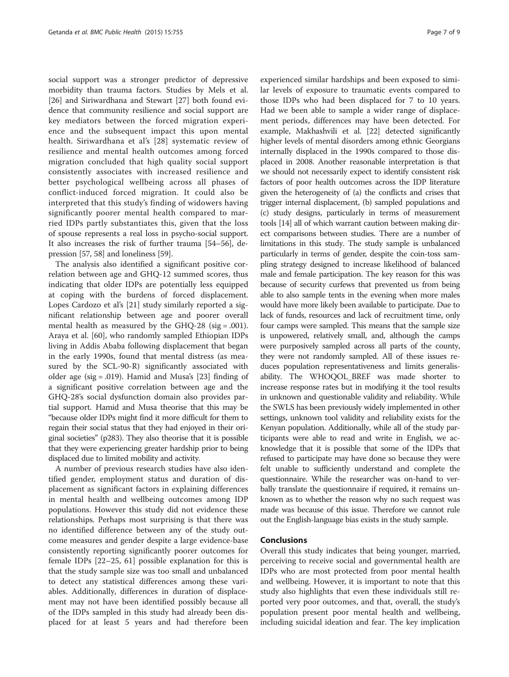social support was a stronger predictor of depressive morbidity than trauma factors. Studies by Mels et al. [[26\]](#page-8-0) and Siriwardhana and Stewart [[27\]](#page-8-0) both found evidence that community resilience and social support are key mediators between the forced migration experience and the subsequent impact this upon mental health. Siriwardhana et al's [\[28\]](#page-8-0) systematic review of resilience and mental health outcomes among forced migration concluded that high quality social support consistently associates with increased resilience and better psychological wellbeing across all phases of conflict-induced forced migration. It could also be interpreted that this study's finding of widowers having significantly poorer mental health compared to married IDPs partly substantiates this, given that the loss of spouse represents a real loss in psycho-social support. It also increases the risk of further trauma [\[54](#page-9-0)–[56](#page-9-0)], depression [[57](#page-9-0), [58\]](#page-9-0) and loneliness [[59](#page-9-0)].

The analysis also identified a significant positive correlation between age and GHQ-12 summed scores, thus indicating that older IDPs are potentially less equipped at coping with the burdens of forced displacement. Lopes Cardozo et al's [[21\]](#page-8-0) study similarly reported a significant relationship between age and poorer overall mental health as measured by the GHQ-28 (sig = .001). Araya et al. [\[60\]](#page-9-0), who randomly sampled Ethiopian IDPs living in Addis Ababa following displacement that began in the early 1990s, found that mental distress (as measured by the SCL-90-R) significantly associated with older age (sig = .019). Hamid and Musa's [\[23](#page-8-0)] finding of a significant positive correlation between age and the GHQ-28's social dysfunction domain also provides partial support. Hamid and Musa theorise that this may be "because older IDPs might find it more difficult for them to regain their social status that they had enjoyed in their original societies" (p283). They also theorise that it is possible that they were experiencing greater hardship prior to being displaced due to limited mobility and activity.

A number of previous research studies have also identified gender, employment status and duration of displacement as significant factors in explaining differences in mental health and wellbeing outcomes among IDP populations. However this study did not evidence these relationships. Perhaps most surprising is that there was no identified difference between any of the study outcome measures and gender despite a large evidence-base consistently reporting significantly poorer outcomes for female IDPs [[22](#page-8-0)–[25,](#page-8-0) [61](#page-9-0)] possible explanation for this is that the study sample size was too small and unbalanced to detect any statistical differences among these variables. Additionally, differences in duration of displacement may not have been identified possibly because all of the IDPs sampled in this study had already been displaced for at least 5 years and had therefore been

experienced similar hardships and been exposed to similar levels of exposure to traumatic events compared to those IDPs who had been displaced for 7 to 10 years. Had we been able to sample a wider range of displacement periods, differences may have been detected. For example, Makhashvili et al. [\[22\]](#page-8-0) detected significantly higher levels of mental disorders among ethnic Georgians internally displaced in the 1990s compared to those displaced in 2008. Another reasonable interpretation is that we should not necessarily expect to identify consistent risk factors of poor health outcomes across the IDP literature given the heterogeneity of (a) the conflicts and crises that trigger internal displacement, (b) sampled populations and (c) study designs, particularly in terms of measurement tools [\[14\]](#page-8-0) all of which warrant caution between making direct comparisons between studies. There are a number of limitations in this study. The study sample is unbalanced particularly in terms of gender, despite the coin-toss sampling strategy designed to increase likelihood of balanced male and female participation. The key reason for this was because of security curfews that prevented us from being able to also sample tents in the evening when more males would have more likely been available to participate. Due to lack of funds, resources and lack of recruitment time, only four camps were sampled. This means that the sample size is unpowered, relatively small, and, although the camps were purposively sampled across all parts of the county, they were not randomly sampled. All of these issues reduces population representativeness and limits generalisability. The WHOQOL\_BREF was made shorter to increase response rates but in modifying it the tool results in unknown and questionable validity and reliability. While the SWLS has been previously widely implemented in other settings, unknown tool validity and reliability exists for the Kenyan population. Additionally, while all of the study participants were able to read and write in English, we acknowledge that it is possible that some of the IDPs that refused to participate may have done so because they were felt unable to sufficiently understand and complete the questionnaire. While the researcher was on-hand to verbally translate the questionnaire if required, it remains unknown as to whether the reason why no such request was made was because of this issue. Therefore we cannot rule out the English-language bias exists in the study sample.

#### Conclusions

Overall this study indicates that being younger, married, perceiving to receive social and governmental health are IDPs who are most protected from poor mental health and wellbeing. However, it is important to note that this study also highlights that even these individuals still reported very poor outcomes, and that, overall, the study's population present poor mental health and wellbeing, including suicidal ideation and fear. The key implication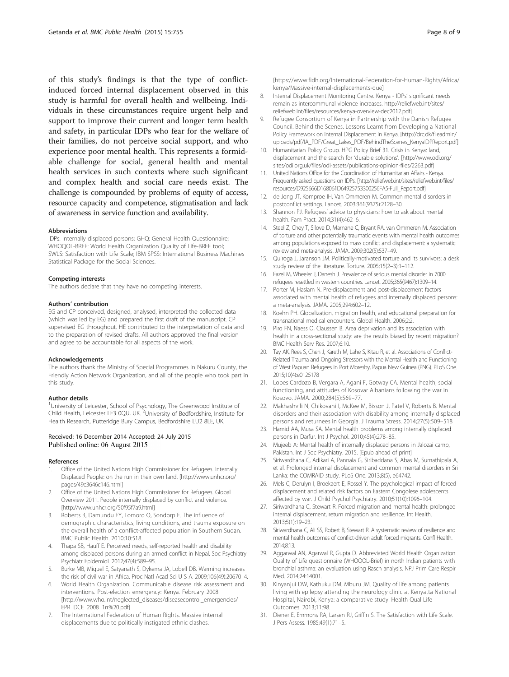<span id="page-8-0"></span>of this study's findings is that the type of conflictinduced forced internal displacement observed in this study is harmful for overall health and wellbeing. Individuals in these circumstances require urgent help and support to improve their current and longer term health and safety, in particular IDPs who fear for the welfare of their families, do not perceive social support, and who experience poor mental health. This represents a formidable challenge for social, general health and mental health services in such contexts where such significant and complex health and social care needs exist. The challenge is compounded by problems of equity of access, resource capacity and competence, stigmatisation and lack of awareness in service function and availability.

#### Abbreviations

IDPs: Internally displaced persons; GHQ: General Health Questionnaire; WHOQOL-BREF: World Health Organization Quality of Life-BREF tool; SWLS: Satisfaction with Life Scale; IBM SPSS: International Business Machines Statistical Package for the Social Sciences.

#### Competing interests

The authors declare that they have no competing interests.

#### Authors' contribution

EG and CP conceived, designed, analysed, interpreted the collected data (which was led by EG) and prepared the first draft of the manuscript. CP supervised EG throughout. HE contributed to the interpretation of data and to the preparation of revised drafts. All authors approved the final version and agree to be accountable for all aspects of the work.

#### Acknowledgements

The authors thank the Ministry of Special Programmes in Nakuru County, the Friendly Action Network Organization, and all of the people who took part in this study.

#### Author details

<sup>1</sup>University of Leicester, School of Psychology, The Greenwood Institute of Child Health, Leicester LE3 0QU, UK. <sup>2</sup>University of Bedfordshire, Institute for Health Research, Putteridge Bury Campus, Bedfordshire LU2 8LE, UK.

#### Received: 16 December 2014 Accepted: 24 July 2015 Published online: 06 August 2015

#### References

- 1. Office of the United Nations High Commissioner for Refugees. Internally Displaced People: on the run in their own land. [[http://www.unhcr.org/](http://www.unhcr.org/pages/49c3646c146.html) [pages/49c3646c146.html](http://www.unhcr.org/pages/49c3646c146.html)]
- 2. Office of the United Nations High Commissioner for Refugees. Global Overview 2011. People internally displaced by conflict and violence. [[http://www.unhcr.org/50f95f7a9.html\]](http://www.unhcr.org/50f95f7a9.html)
- 3. Roberts B, Damundu EY, Lomoro O, Sondorp E. The influence of demographic characteristics, living conditions, and trauma exposure on the overall health of a conflict-affected population in Southern Sudan. BMC Public Health. 2010;10:518.
- 4. Thapa SB, Hauff E. Perceived needs, self-reported health and disability among displaced persons during an armed conflict in Nepal. Soc Psychiatry Psychiatr Epidemiol. 2012;47(4):589–95.
- 5. Burke MB, Miguel E, Satyanath S, Dykema JA, Lobell DB. Warming increases the risk of civil war in Africa. Proc Natl Acad Sci U S A. 2009;106(49):20670–4.
- 6. World Health Organization. Communicable disease risk assessment and interventions. Post-election emergency: Kenya. February 2008. [[http://www.who.int/neglected\\_diseases/diseasecontrol\\_emergencies/](http://www.who.int/neglected_diseases/diseasecontrol_emergencies/EPR_DCE_2008_1rr%20.pdf) [EPR\\_DCE\\_2008\\_1rr%20.pdf\]](http://www.who.int/neglected_diseases/diseasecontrol_emergencies/EPR_DCE_2008_1rr%20.pdf)
- 7. The International Federation of Human Rights. Massive internal displacements due to politically instigated ethnic clashes.

[[https://www.fidh.org/International-Federation-for-Human-Rights/Africa/](https://www.fidh.org/International-Federation-for-Human-Rights/Africa/kenya/Massive-internal-displacements-due) [kenya/Massive-internal-displacements-due](https://www.fidh.org/International-Federation-for-Human-Rights/Africa/kenya/Massive-internal-displacements-due)]

- 8. Internal Displacement Monitoring Centre. Kenya IDPs' significant needs remain as intercommunal violence increases. [http://reliefweb.int/sites/](http://reliefweb.int/sites/reliefweb.int/files/resources/kenya-overview-dec2012.pdf) [reliefweb.int/files/resources/kenya-overview-dec2012.pdf](http://reliefweb.int/sites/reliefweb.int/files/resources/kenya-overview-dec2012.pdf)]
- 9. Refugee Consortium of Kenya in Partnership with the Danish Refugee Council. Behind the Scenes. Lessons Learnt from Developing a National Policy Framework on Internal Displacement in Kenya. [\[http://drc.dk/fileadmin/](http://drc.dk/fileadmin/uploads/pdf/IA_PDF/Great_Lakes_PDF/BehindTheScenes_KenyaIDPReport.pdf) [uploads/pdf/IA\\_PDF/Great\\_Lakes\\_PDF/BehindTheScenes\\_KenyaIDPReport.pdf\]](http://drc.dk/fileadmin/uploads/pdf/IA_PDF/Great_Lakes_PDF/BehindTheScenes_KenyaIDPReport.pdf)
- 10. Humanitarian Policy Group. HPG Policy Brief 31. Crisis in Kenya: land, displacement and the search for 'durable solutions'. [\[http://www.odi.org/](http://www.odi.org/sites/odi.org.uk/files/odi-assets/publications-opinion-files/2263.pdf) [sites/odi.org.uk/files/odi-assets/publications-opinion-files/2263.pdf\]](http://www.odi.org/sites/odi.org.uk/files/odi-assets/publications-opinion-files/2263.pdf)
- 11. United Nations Office for the Coordination of Humanitarian Affairs Kenya. Frequently asked questions on IDPs. [[http://reliefweb.int/sites/reliefweb.int/files/](http://reliefweb.int/sites/reliefweb.int/files/resources/D925666D168061D64925753300256FA5-Full_Report.pdf) [resources/D925666D168061D64925753300256FA5-Full\\_Report.pdf](http://reliefweb.int/sites/reliefweb.int/files/resources/D925666D168061D64925753300256FA5-Full_Report.pdf)]
- 12. de Jong JT, Komproe IH, Van Ommeren M. Common mental disorders in postconflict settings. Lancet. 2003;361(9375):2128–30.
- 13. Shannon PJ. Refugees' advice to physicians: how to ask about mental health. Fam Pract. 2014;31(4):462–6.
- 14. Steel Z, Chey T, Silove D, Marnane C, Bryant RA, van Ommeren M. Association of torture and other potentially traumatic events with mental health outcomes among populations exposed to mass conflict and displacement: a systematic review and meta-analysis. JAMA. 2009;302(5):537–49.
- 15. Quiroga J, Jaranson JM. Politically-motivated torture and its survivors: a desk study review of the literature. Torture. 2005;15(2–3):1–112.
- 16. Fazel M, Wheeler J, Danesh J. Prevalence of serious mental disorder in 7000 refugees resettled in western countries. Lancet. 2005;365(9467):1309–14.
- 17. Porter M, Haslam N. Pre-displacement and post-displacement factors associated with mental health of refugees and internally displaced persons: a meta-analysis. JAMA. 2005;294:602–12.
- 18. Koehn PH. Globalization, migration health, and educational preparation for transnational medical encounters. Global Health. 2006;2:2.
- 19. Piro FN, Naess O, Claussen B. Area deprivation and its association with health in a cross-sectional study: are the results biased by recent migration? BMC Health Serv Res. 2007;6:10.
- 20. Tay AK, Rees S, Chen J, Kareth M, Lahe S, Kitau R, et al. Associations of Conflict-Related Trauma and Ongoing Stressors with the Mental Health and Functioning of West Papuan Refugees in Port Moresby, Papua New Guinea (PNG). PLoS One. 2015;10(4):e0125178
- 21. Lopes Cardozo B, Vergara A, Agani F, Gotway CA. Mental health, social functioning, and attitudes of Kosovar Albanians following the war in Kosovo. JAMA. 2000;284(5):569–77.
- 22. Makhashvili N, Chikovani I, McKee M, Bisson J, Patel V, Roberts B. Mental disorders and their association with disability among internally displaced persons and returnees in Georgia. J Trauma Stress. 2014;27(5):509–518
- 23. Hamid AA, Musa SA. Mental health problems among internally displaced persons in Darfur. Int J Psychol. 2010;45(4):278–85.
- 24. Mujeeb A: Mental health of internally displaced persons in Jalozai camp, Pakistan. Int J Soc Psychiatry. 2015. [Epub ahead of print]
- 25. Siriwardhana C, Adikari A, Pannala G, Siribaddana S, Abas M, Sumathipala A, et al. Prolonged internal displacement and common mental disorders in Sri Lanka: the COMRAID study. PLoS One. 2013;8(5), e64742.
- 26. Mels C, Derulyn I, Broekaert E, Rossel Y. The psychological impact of forced displacement and related risk factors on Eastern Congolese adolescents affected by war. J Child Psychol Psychiatry. 2010;51(10):1096–104.
- 27. Siriwardhana C, Stewart R. Forced migration and mental health: prolonged internal displacement, return migration and resilience. Int Health. 2013;5(1):19–23.
- 28. Siriwardhana C, Ali SS, Robert B, Stewart R. A systematic review of resilience and mental health outcomes of conflict-driven adult forced migrants. Confl Health. 2014;8:13.
- 29. Aggarwal AN, Agarwal R, Gupta D. Abbreviated World Health Organization Quality of Life questionnaire (WHOQOL-Brief) in north Indian patients with bronchial asthma: an evaluation using Rasch analysis. NPJ Prim Care Respir Med. 2014;24:14001.
- 30. Kinyanjui DW, Kathuku DM, Mburu JM. Quality of life among patients living with epilepsy attending the neurology clinic at Kenyatta National Hospital, Nairobi, Kenya: a comparative study. Health Qual Life Outcomes. 2013;11:98.
- 31. Diener E, Emmons RA, Larsen RJ, Griffin S. The Satisfaction with Life Scale. J Pers Assess. 1985;49(1):71–5.